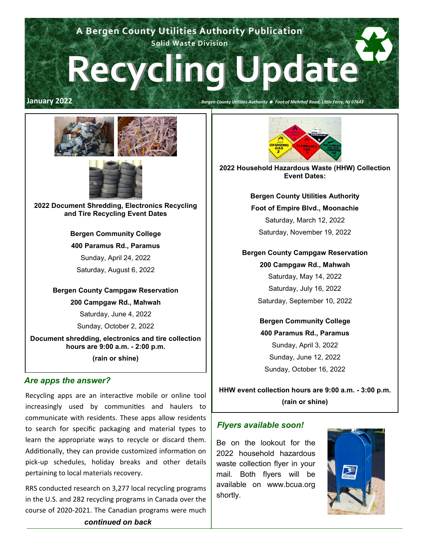## **A Bergen County Utilities Authority Publication Solid Waste Division**

# **Recycling Update**

#### **January 2022** *Bergen County Utilities Authority Foot of Mehrhof Road, Little Ferry, NJ 07643*





**2022 Document Shredding, Electronics Recycling and Tire Recycling Event Dates**

**Bergen Community College**

#### **400 Paramus Rd., Paramus**

Sunday, April 24, 2022

Saturday, August 6, 2022

#### **Bergen County Campgaw Reservation**

**200 Campgaw Rd., Mahwah**

Saturday, June 4, 2022

Sunday, October 2, 2022

**Document shredding, electronics and tire collection hours are 9:00 a.m. - 2:00 p.m. (rain or shine)**

#### *Are apps the answer?*

Recycling apps are an interactive mobile or online tool increasingly used by communities and haulers to communicate with residents. These apps allow residents to search for specific packaging and material types to learn the appropriate ways to recycle or discard them. Additionally, they can provide customized information on pick-up schedules, holiday breaks and other details pertaining to local materials recovery.

RRS conducted research on 3,277 local recycling programs in the U.S. and 282 recycling programs in Canada over the course of 2020-2021. The Canadian programs were much



**2022 Household Hazardous Waste (HHW) Collection Event Dates:**

> **Bergen County Utilities Authority Foot of Empire Blvd., Moonachie** Saturday, March 12, 2022 Saturday, November 19, 2022

#### **Bergen County Campgaw Reservation**

**200 Campgaw Rd., Mahwah**

Saturday, May 14, 2022 Saturday, July 16, 2022 Saturday, September 10, 2022

**Bergen Community College 400 Paramus Rd., Paramus** Sunday, April 3, 2022 Sunday, June 12, 2022 Sunday, October 16, 2022

**HHW event collection hours are 9:00 a.m. - 3:00 p.m. (rain or shine)**

#### *Flyers available soon!*

Be on the lookout for the 2022 household hazardous waste collection flyer in your mail. Both flyers will be available on www.bcua.org shortly.